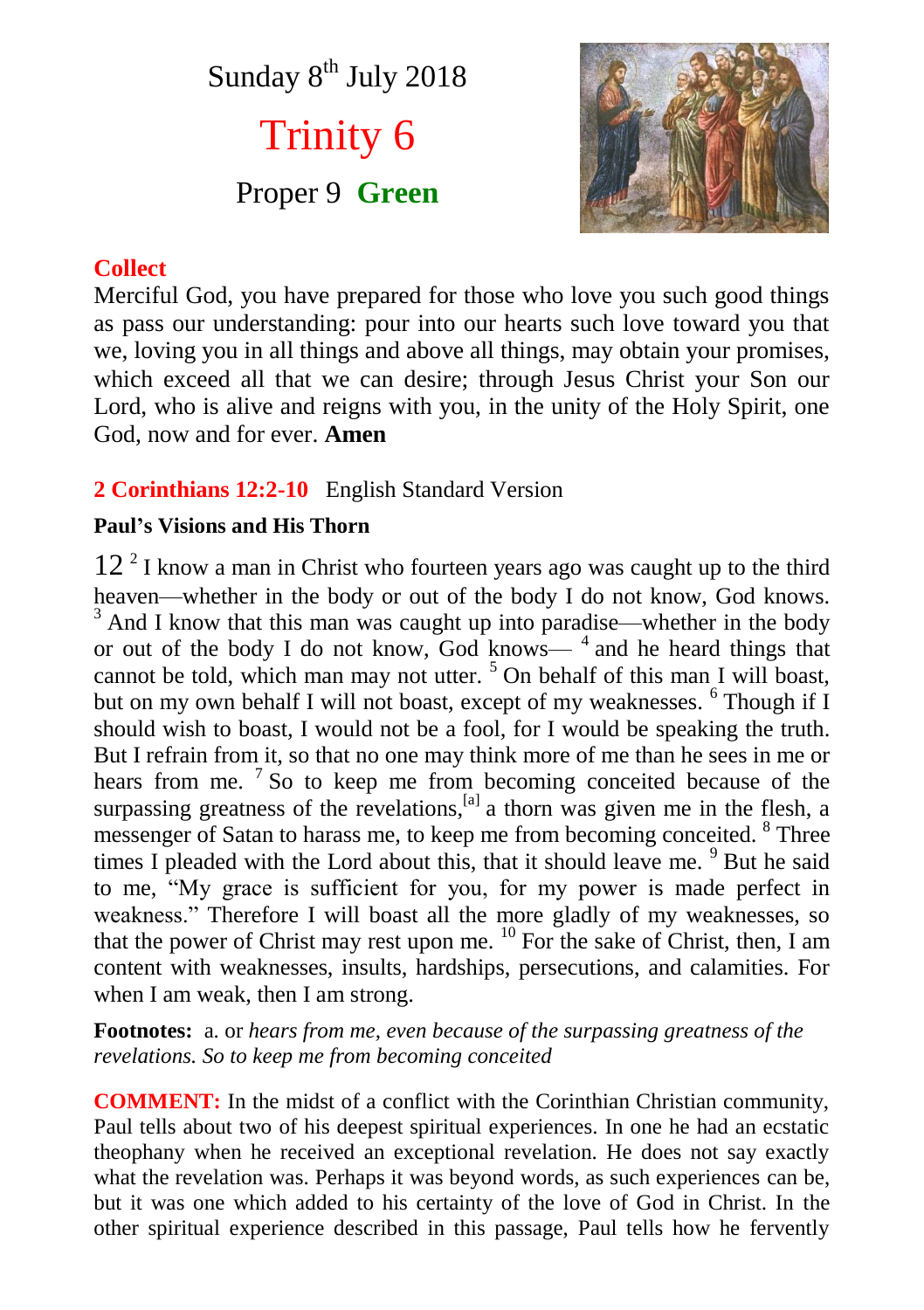Sunday  $8<sup>th</sup>$  July 2018

Trinity 6 Proper 9 **Green**



# **Collect**

Merciful God, you have prepared for those who love you such good things as pass our understanding: pour into our hearts such love toward you that we, loving you in all things and above all things, may obtain your promises, which exceed all that we can desire; through Jesus Christ your Son our Lord, who is alive and reigns with you, in the unity of the Holy Spirit, one God, now and for ever. **Amen**

### **2 Corinthians 12:2-10** English Standard Version

#### **Paul's Visions and His Thorn**

12<sup>2</sup> I know a man in Christ who fourteen years ago was caught up to the third heaven—whether in the body or out of the body I do not know, God knows. <sup>3</sup> And I know that this man was caught up into paradise—whether in the body or out of the body I do not know, God knows— $<sup>4</sup>$  and he heard things that</sup> cannot be told, which man may not utter.<sup>5</sup> On behalf of this man I will boast, but on my own behalf I will not boast, except of my weaknesses. <sup>6</sup> Though if I should wish to boast, I would not be a fool, for I would be speaking the truth. But I refrain from it, so that no one may think more of me than he sees in me or hears from me.  $7$  So to keep me from becoming conceited because of the surpassing greatness of the revelations,  $[<sup>a</sup>]$  a thorn was given me in the flesh, a messenger of Satan to harass me, to keep me from becoming conceited. <sup>8</sup> Three times I pleaded with the Lord about this, that it should leave me.  $9^9$  But he said to me, "My grace is sufficient for you, for my power is made perfect in weakness." Therefore I will boast all the more gladly of my weaknesses, so that the power of Christ may rest upon me.  $^{10}$  For the sake of Christ, then, I am content with weaknesses, insults, hardships, persecutions, and calamities. For when I am weak, then I am strong.

**Footnotes:** a. or *hears from me, even because of the surpassing greatness of the revelations. So to keep me from becoming conceited*

**COMMENT:** In the midst of a conflict with the Corinthian Christian community, Paul tells about two of his deepest spiritual experiences. In one he had an ecstatic theophany when he received an exceptional revelation. He does not say exactly what the revelation was. Perhaps it was beyond words, as such experiences can be, but it was one which added to his certainty of the love of God in Christ. In the other spiritual experience described in this passage, Paul tells how he fervently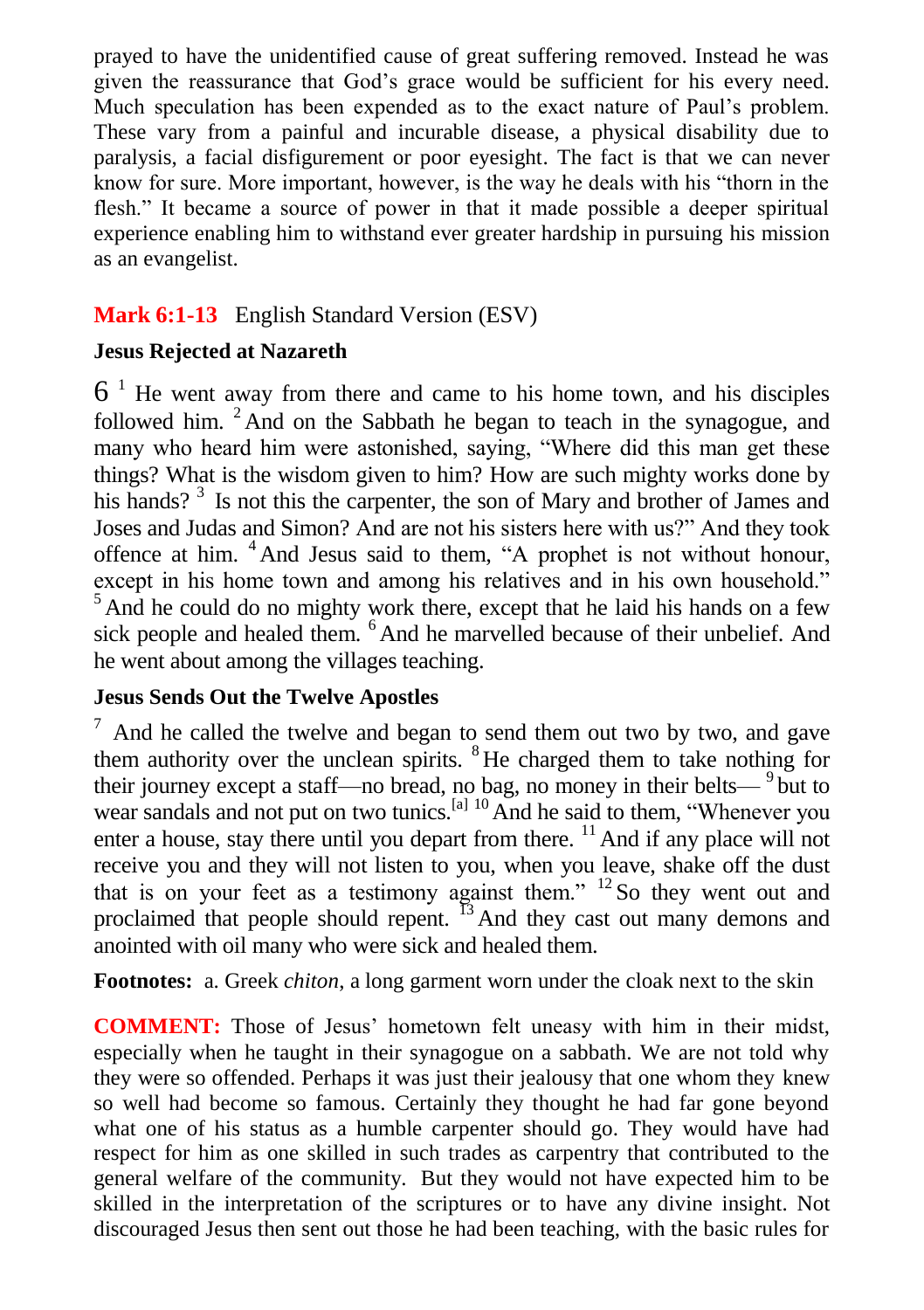prayed to have the unidentified cause of great suffering removed. Instead he was given the reassurance that God's grace would be sufficient for his every need. Much speculation has been expended as to the exact nature of Paul's problem. These vary from a painful and incurable disease, a physical disability due to paralysis, a facial disfigurement or poor eyesight. The fact is that we can never know for sure. More important, however, is the way he deals with his "thorn in the flesh." It became a source of power in that it made possible a deeper spiritual experience enabling him to withstand ever greater hardship in pursuing his mission as an evangelist.

### **Mark 6:1-13** English Standard Version (ESV)

### **Jesus Rejected at Nazareth**

 $6<sup>1</sup>$  He went away from there and came to his home town, and his disciples followed him.  $2$  And on the Sabbath he began to teach in the synagogue, and many who heard him were astonished, saying, "Where did this man get these things? What is the wisdom given to him? How are such mighty works done by his hands?<sup>3</sup> Is not this the carpenter, the son of Mary and brother of James and Joses and Judas and Simon? And are not his sisters here with us?" And they took offence at him. <sup>4</sup> And Jesus said to them, "A prophet is not without honour, except in his home town and among his relatives and in his own household."  $5$  And he could do no mighty work there, except that he laid his hands on a few sick people and healed them. <sup>6</sup> And he marvelled because of their unbelief. And he went about among the villages teaching.

#### **Jesus Sends Out the Twelve Apostles**

 $7$  And he called the twelve and began to send them out two by two, and gave them authority over the unclean spirits. <sup>8</sup>He charged them to take nothing for their journey except a staff—no bread, no bag, no money in their belts— $9$  but to wear sandals and not put on two tunics.<sup>[a] 10</sup> And he said to them, "Whenever you enter a house, stay there until you depart from there.  $\frac{11}{11}$  And if any place will not receive you and they will not listen to you, when you leave, shake off the dust that is on your feet as a testimony against them."  $12$  So they went out and proclaimed that people should repent. <sup>13</sup> And they cast out many demons and anointed with oil many who were sick and healed them.

**Footnotes:** a. Greek *chiton*, a long garment worn under the cloak next to the skin

**COMMENT:** Those of Jesus' hometown felt uneasy with him in their midst, especially when he taught in their synagogue on a sabbath. We are not told why they were so offended. Perhaps it was just their jealousy that one whom they knew so well had become so famous. Certainly they thought he had far gone beyond what one of his status as a humble carpenter should go. They would have had respect for him as one skilled in such trades as carpentry that contributed to the general welfare of the community. But they would not have expected him to be skilled in the interpretation of the scriptures or to have any divine insight. Not discouraged Jesus then sent out those he had been teaching, with the basic rules for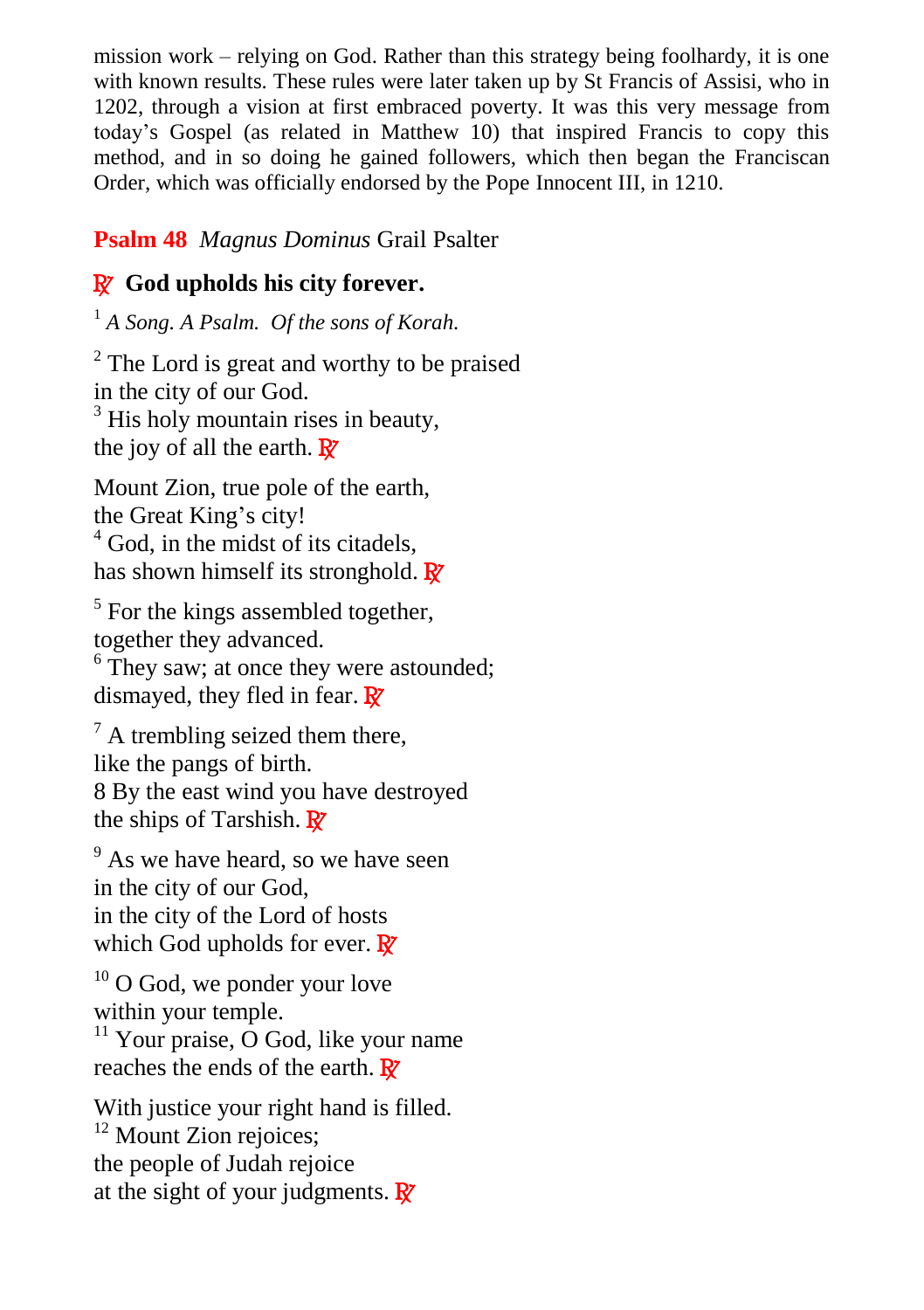mission work – relying on God. Rather than this strategy being foolhardy, it is one with known results. These rules were later taken up by St Francis of Assisi, who in 1202, through a vision at first embraced poverty. It was this very message from today's Gospel (as related in Matthew 10) that inspired Francis to copy this method, and in so doing he gained followers, which then began the Franciscan Order, which was officially endorsed by the Pope Innocent III, in 1210.

# **Psalm 48** *Magnus Dominus* Grail Psalter

# R **God upholds his city forever.**

<sup>1</sup> *A Song. A Psalm. Of the sons of Korah.* 

<sup>2</sup> The Lord is great and worthy to be praised in the city of our God.  $3$  His holy mountain rises in beauty, the joy of all the earth.  $\mathbf{R}$ 

Mount Zion, true pole of the earth, the Great King's city!  $4 \text{ God.}$  in the midst of its citadels. has shown himself its stronghold.  $\mathbb{R}^7$ 

<sup>5</sup> For the kings assembled together, together they advanced. <sup>6</sup> They saw; at once they were astounded;

dismayed, they fled in fear.  $\mathbb{R}^7$ 

 $^7$  A trembling seized them there, like the pangs of birth. 8 By the east wind you have destroyed the ships of Tarshish.  $\mathbb{R}^7$ 

<sup>9</sup> As we have heard, so we have seen in the city of our God, in the city of the Lord of hosts which God upholds for ever.  $\mathbb{R}$ 

 $10$  O God, we ponder your love within your temple.

 $11$  Your praise, O God, like your name reaches the ends of the earth.  $\mathbf{R}$ 

With justice your right hand is filled.  $12$  Mount Zion rejoices: the people of Judah rejoice at the sight of your judgments.  $\mathbf{R}^{\prime}$